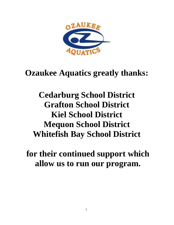

# **Ozaukee Aquatics greatly thanks:**

**Cedarburg School District Grafton School District Kiel School District Mequon School District Whitefish Bay School District**

**for their continued support which allow us to run our program.**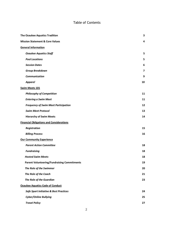### Table of Contents

| <b>The Ozaukee Aquatics Tradition</b>              | 3                        |
|----------------------------------------------------|--------------------------|
| <b>Mission Statement &amp; Core Values</b>         | 4                        |
| <b>General Information</b>                         |                          |
| <b>Ozaukee Aquatics Staff</b>                      | 5                        |
| <b>Pool Locations</b>                              | 5                        |
| <b>Session Dates</b>                               | 6                        |
| <b>Group Breakdown</b>                             | $\overline{\phantom{a}}$ |
| <b>Communication</b>                               | 9                        |
| <b>Apparel</b>                                     | 10                       |
| <b>Swim Meets 101</b>                              |                          |
| <b>Philosophy of Competition</b>                   | 11                       |
| <b>Entering a Swim Meet</b>                        | 11                       |
| <b>Frequency of Swim Meet Participation</b>        | 12                       |
| <b>Swim Meet Protocol</b>                          | 13                       |
| <b>Hierarchy of Swim Meets</b>                     | 14                       |
| <b>Financial Obligations and Considerations</b>    |                          |
| <b>Registration</b>                                | 15                       |
| <b>Billing Process</b>                             | 16                       |
| <b>Our Community Experience</b>                    |                          |
| <b>Parent Action Committee</b>                     | 18                       |
| <b>Fundraising</b>                                 | 18                       |
| <b>Hosted Swim Meets</b>                           | 18                       |
| <b>Parent Volunteering/Fundraising Commitments</b> | 19                       |
| The Role of the Swimmer                            | 20                       |
| The Role of the Coach                              | 21                       |
| The Role of the Guardian                           | 23                       |
| <b>Ozaukee Aquatics Code of Conduct</b>            |                          |
| Safe Sport Initiative & Best Practices             | 24                       |
| <b>Cyber/Online Bullying</b>                       | 25                       |
| <b>Travel Policy</b>                               | 27                       |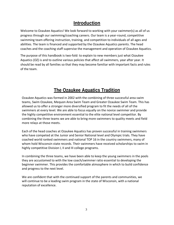# **Introduction**

Welcome to Ozaukee Aquatics! We look forward to working with your swimmer(s) as all of us progress through our swimming/coaching careers. Our team is a year-round, competitive swimming team offering instruction, training, and competition to individuals of all ages and abilities. The team is financed and supported by the Ozaukee Aquatics parents. The head coaches and the coaching staff supervise the management and operation of Ozaukee Aquatics.

The purpose of this handbook is two-fold: to explain to new members just what Ozaukee Aquatics (OZ) is and to outline various policies that affect all swimmers, year after year. It should be read by all families so that they may become familiar with important facts and rules of the team.

# **The Ozaukee Aquatics Tradition**

<span id="page-2-0"></span>Ozaukee Aquatics was formed in 2002 with the combining of three successful area swim teams, Swim Ozaukee, Mequon Area Swim Team and Greater Ozaukee Swim Team. This has allowed us to offer a stronger more diversified program to fit the needs of all of the swimmers at every level. We are able to focus equally on the novice swimmer and provide the highly competitive environment essential to the elite national level competitor. By combining the three teams we are able to bring more swimmers to quality meets and field more relays at those meets.

Each of the head coaches at Ozaukee Aquatics has proven successful in training swimmers who have competed at the Junior and Senior National level and Olympic trials. They have coached world ranked swimmers and national TOP 16 in the country swimmers, many of whom hold Wisconsin state records. Their swimmers have received scholarships to swim in highly competitive Division I, II and III college programs.

In combining the three teams, we have been able to keep the young swimmers in the pools they are accustomed to with the low coach/swimmer ratio essential to developing the beginner swimmer. This provides the comfortable atmosphere in which to build confidence and progress to the next level.

We are confident that with the continued support of the parents and communities, we will continue to be a leading swim program in the state of Wisconsin, with a national reputation of excellence.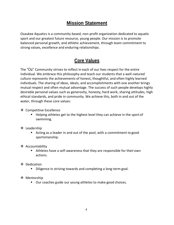# **Mission Statement**

Ozaukee Aquatics is a community-based, non-profit organization dedicated to aquatic sport and our greatest future resource, young people. Our mission is to promote balanced personal growth, and athletic achievement, through team commitment to strong values, excellence and enduring relationships.

# **Core Values**

The "Oz" Community strives to reflect in each of our lives respect for the entire individual. We embrace this philosophy and teach our students that a well-natured culture represents the achievements of honest, thoughtful, and often highly learned individuals. The sharing of ideas, ideals, and accomplishments with one another brings mutual respect and often mutual advantage. The success of such people develops highly desirable personal values such as generosity, honesty, hard work, sharing attitudes, high ethical standards, and pride in community. We achieve this, both in and out of the water, through these core values:

- ❖ Competitive Excellence
	- Helping athletes get to the highest level they can achieve in the sport of swimming.
- ❖ Leadership
	- Acting as a leader in and out of the pool, with a commitment to good sportsmanship.
- ❖ Accountability
	- Athletes have a self-awareness that they are responsible for their own actions.
- ❖ Dedication
	- Diligence in striving towards and completing a long-term goal.
- ❖ Mentorship
	- Our coaches guide our young athletes to make good choices.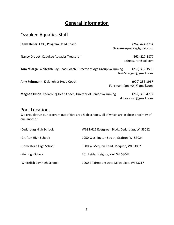# **General Information**

### <span id="page-4-1"></span><span id="page-4-0"></span>Ozaukee Aquatics Staff

**Steve Keller**: COO, Program Head Coach (262) 424-7754

[Ozaukeeaquatics@gmail.com](mailto:Ozaukeeaquatics@gmail.com)

**Nancy Drabot**: Ozaukee Aquatics Treasurer (262) 227-1877

[oztreasurer@aol.com](mailto:oztreasurer@aol.com)

**Tom Miazga**: Whitefish Bay Head Coach, Director of AgeGroup Swimming (262) 352-3550 TomMiazga8@gmail.com

**Amy Fuhrmann**: Kiel/Kohler Head Coach (920) 286-1967

Fuhrmannfamily04@gmail.com

**Meghan Olson**: Cedarburg Head Coach, Director of Senior Swimming (262) 339-4797 dmaaolson@gmail.com

### Pool Locations

We proudly run our program out of five area high schools, all of which are in close proximity of one another:

<span id="page-4-2"></span>

| -Cedarburg High School:     | W68 N611 Evergreen Blvd., Cedarburg, WI 53012 |
|-----------------------------|-----------------------------------------------|
| -Grafton High School:       | 1950 Washington Street, Grafton, WI 53024     |
| -Homestead High School:     | 5000 W Mequon Road, Mequon, WI 53092          |
| -Kiel High School:          | 201 Raider Heights, Kiel, WI 53042            |
| -Whitefish Bay High School: | 1200 E Fairmount Ave, Milwaukee, WI 53217     |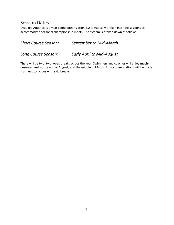### **Session Dates**

Ozaukee Aquatics is a year-round organization, systematically broken into two sessions to accommodate seasonal championship meets. The system is broken down as follows:

*Short Course Season: September to Mid-March* 

*Long Course Season: Early April to Mid-August*

There will be two, two-week breaks across the year. Swimmers and coaches will enjoy muchdeserved rest at the end of August, and the middle of March. All accommodations will be made if a meet coincides with said breaks.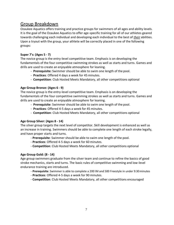### <span id="page-6-0"></span>Group Breakdown

Ozaukee Aquatics offers training and practice groups for swimmers of all ages and ability levels. It is the goal of the Ozaukee Aquatics to offer age-specific training for all of our athletes geared towards challenging each individual and developing each individual to the best of *their* abilities. Upon a tryout with the group, your athlete will be correctly placed in one of the following groups:

#### **Super 7's: (Ages 5 - 7)**

The novice group is the entry-level competitive team. Emphasis is on developing the fundamentals of the four competitive swimming strokes as well as starts and turns. Games and drills are used to create an enjoyable atmosphere for leaning.

- **Prerequisite:** Swimmer should be able to swim one length of the pool.
- **Practices**: Offered 4 days a week for 45 minutes.
- **Competition**: Club Hosted Meets Mandatory, all other competitions optional

#### **Age Group Bronze: (Ages 6 - 9)**

The novice group is the entry-level competitive team. Emphasis is on developing the fundamentals of the four competitive swimming strokes as well as starts and turns. Games and drills are used to create an enjoyable atmosphere for leaning.

- **Prerequisite**: Swimmer should be able to swim one length of the pool.
- **Practices**: Offered 4-5 days a week for 45 minutes.
- **Competition**: Club Hosted Meets Mandatory, all other competitions optional

#### **Age Group Silver: (Ages 8 - 14)**

The silver group targets the next level of competitor. Skill development is enhanced as well as an increase in training. Swimmers should be able to complete one length of each stroke legally, and have proper starts and turns.

- **Prerequisite**: Swimmer should be able to swim one length of the pool.
- **Practices**: Offered 4-5 days a week for 60 minutes.
- **Competition**: Club Hosted Meets Mandatory, all other competitions optional

#### **Age Group Gold: (8 - 14)**

Age group swimmers graduate from the silver team and continue to refine the basics of good stroke mechanics, starts and turns. The basic rules of competitive swimming and low-level endurance training are introduced.

- **Prerequisite**: Swimmer is able to complete a 200 IM and 500 Freestyle in under 9:30minutes
- **Practices**: Offered 4-5 days a week for 90 minutes.
- **Competition**: Club Hosted Meets Mandatory, all other competitions encouraged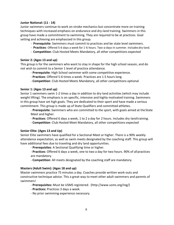#### **Junior National: (11 - 14)**

Junior swimmers continue to work on stroke mechanics but concentrate more on training techniques with increased emphasis on endurance and dry-land training. Swimmers in this group have made a commitment to swimming. They are required to be at practices. Goal setting and achieving are emphasized in this group.

- **Prerequisite**: Swimmers must commit to practices and be state level swimmers.
- **Practices**: Offered 5-6 days a week for 1 ¾ hours. Two-a-days in summer. Includesdry-land.
- **Competition**: Club Hosted Meets Mandatory, all other competitions expected

#### **Senior 2: (Ages 13 and up)**

This group is for the swimmers who want to stay in shape for the high school season, and do not wish to commit to a Senior 1 level of practice attendance.

- **Prerequisite**: High School swimmer with some competitive experience.
- **Practices**: Offered 5-6 times a week. Practices are 1.5 hours long.
- **Competition**: Club Hosted Meets Mandatory, all other competitions optional

#### **Senior 1: (Ages 13 and up)**

Senior 1 swimmers swim 1-2 times a day in addition to dry-land activities (which may include weight lifting). The emphasis is on specific, intensive and highly motivated training. Swimmers in this group have set high goals. They are dedicated to their sport and have made a serious commitment. This group is made up of State Qualifiers and committed athletes.

- **Prerequisite**: Swimmers who are committed to the sport, with goals aimed at theState Meet and higher.

- **Practices**: Offered 6 days a week, 1 to 2 a day for 2 hours. Includes dry-landtraining.
- **Competition**: Club Hosted Meet Mandatory, all other competitions expected

#### **Senior Elite: (Ages 13 and Up)**

Senior Elite swimmers have qualified for a Sectional Meet or higher. There is a 90% weekly attendance expectation, as well as swim meets designated by the coaching staff. This group will have additional fees due to traveling and dry land opportunities.

- **Prerequisites**: A Sectional Qualifying time or higher.
- **Practices**: Offered 6 days a week, one to two a day for two hours. 90% of allpractices are mandatory.
- **Competition**: All meets designated by the coaching staff are mandatory.

#### **Masters (Adult Swim): (Ages 18 and up)**

Master swimmers practice 75 minutes a day. Coaches provide written work-outs and constructive technique advice. This a great way to meet other adult swimmers and parents of swimmers!

- **Prerequisites:** Must be USMS registered. [\(http://www.usms.org/reg/\)](http://www.usms.org/reg/))
- **Practices:** Practices 3 days a week.
- No prior swimming experience necessary.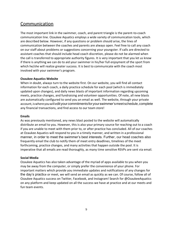# <span id="page-8-0"></span>Communication

The most important link in the swimmer, coach, and parent triangle is the parent-to-coach communication line. Ozaukee Aquatics employs a wide variety of communication tools, which are described below. However, if any questions or problem should arise, the lines of communication between the coaches and parents are always open. Feel free to call any coach on our staff about problems or suggestions concerning your youngster. If calls are directed to assistant coaches that should include head coach discretion, please do not be alarmed when the call is transferred to appropriate authority figures. It is very important that you let us know if there is anything we can do to aid your swimmer in his/her full enjoyment of the sport from which he/she will realize greater success. It is best to communicate with the coach most involved with your swimmer's program.

#### **Ozaukee Aquatics Website**

When in doubt, always turn to the website first. On our website, you will find all contact information for each coach, a daily practice schedule for each pool (which is immediately updated upon changes), and daily news blasts of important information regarding upcoming meets, practice changes, and fundraising and volunteer opportunities. Of note, all new blasts are automatically configured to send you an email as well. The website, through your private account, is where you will edit your commitments for your swimmer's meet schedule, complete any financial transactions, and find access to our team store!

#### **Emails**

As was previously mentioned, any news blast posted to the website will automatically distribute an email to you. However, this is also your primary source for reaching out to a coach if you are unable to meet with them prior to, or after practice has concluded. All of our coaches at Ozaukee Aquatics will respond to you in a timely manner, and written in a professional manner, in order to meet the swimmer's best interests. Further, our head coaches also frequently email the club to notify them of meet entry deadlines, timelines of the meet forthcoming, practice changes, and many activities that happen outside the pool. It is imperative that all emails are read thoroughly, as many time sensitive RSVPs are sent via email.

#### **Social Media**

Ozaukee Aquatics has also taken advantage of the myriad of apps available to you when you may be away from the computer, or simply prefer the convenience of your phone. For important matters which provide you immediate updates and notifications of any changes for the day's practice or meet, we will send an email as quickly as we can. Of course, follow all of Ozaukee Aquatics success on Twitter, Facebook, and Instagram! Search for @OzaukeeAquatics on any platform and keep updated on all the success we have at practice and at our meets and fun team events.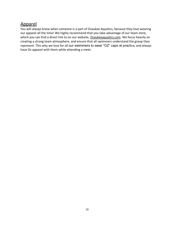# <span id="page-9-0"></span>Apparel

You will always know when someone is a part of Ozaukee Aquatics, because they love wearing our apparel all the time! We highly recommend that you take advantage of our team store, which you can find a direct link to on our website, Ozaukeeaquatics.com. We focus heavily on creating a strong team atmosphere, and ensure that all swimmers understand the group they represent. This why we love for all our swimmers to wear "OZ" caps at practice, and always have Oz apparel with them while attending a meet.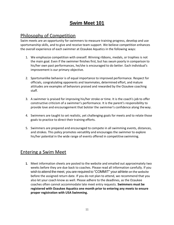# **Swim Meet 101**

# <span id="page-10-0"></span>Philosophy of Competition

Swim meets are an opportunity for swimmers to measure training progress, develop and use sportsmanship skills, and to give and receive team support. We believe competition enhances the overall experience of each swimmer at Ozaukee Aquatics in the following ways:

- 1. We emphasize competition with oneself. Winning ribbons, medals, or trophies is not the main goal. Even if the swimmer finishes first, but has swum poorly in comparison to his/her own past performances, he/she is encouraged to do better. Each individual's improvement is our primary objective.
- 2. Sportsmanlike behavior is of equal importance to improved performance. Respect for officials, congratulating opponents and teammates, determined effort, and mature attitudes are examples of behaviors praised and rewarded by the Ozaukee coaching staff.
- 3. A swimmer is praised for improving his/her stroke or time. It is the coach's job to offer constructive criticism of a swimmer's performance. It is the parent's responsibility to provide love and encouragement that bolster the swimmer's confidence along theway.
- 4. Swimmers are taught to set realistic, yet challenging goals for meets and to relate those goals to practice to direct their training efforts.
- 5. Swimmers are prepared and encouraged to compete in all swimming events, distances, and strokes. This policy promotes versatility and encourages the swimmer to explore his/her potential in the wide range of events offered in competitive swimming.

### <span id="page-10-1"></span>Entering a Swim Meet

**1.** Meet information sheets are posted to the website and emailed out approximately two weeks before they are due back to coaches. Please read all information carefully. If you wish to attend the meet, you are required to "COMMIT" your athlete on the website before the assigned return date. If you do not plan to attend, we recommend that you also let your coach know as well. Please adhere to the deadlines, as the Ozaukee coaches often cannot accommodate late meet entry requests. **Swimmers must be registered with Ozaukee Aquatics one month prior to entering any meets to ensure proper registration with USA Swimming.**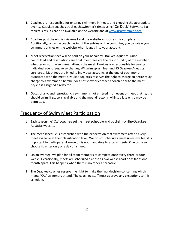- **2.** Coaches are responsible for entering swimmers in meets and choosing the appropriate events. Ozaukee coaches track each swimmer'stimes using "On-Deck" Software. Each athlete's results are also available on the website and at [www.usaswimming.org.](http://www.usaswimming.org/)
- **3.** Coaches post the entries via email and the website as soon as it is complete. Additionally, once the coach has input the entries on the computer, you can view your swimmers entries on the website when logged into your account.
- **4.** Meet reservation fees will be paid on your behalf by Ozaukee Aquatics. Once committed and reservations are final, meet fees are the responsibility of the member whether or not the swimmer attends the meet. Families are responsible for paying individual event fees, relay charges, WI swim splash fees and \$5 Ozaukee Aquatics surcharge. Meet fees are billed to individual accounts at the end of each month associated with the meet. Ozaukee Aquatics reserves the right to charge an entire relay charge to a swimmer if he/she does not show or contact a coach prior to the meet he/she is assigned a relay for.
- **5.** Occasionally, and regrettably, a swimmer is not entered in an event or meet thathe/she should swim. If space is available and the meet director is willing, a late entry may be permitted.

### <span id="page-11-0"></span>Frequency of Swim Meet Participation

- 1. Each season the "Oz" coachesset the meetscheduleand publishit ontheOzaukee Aquatics website.
- 2. The meet schedule is established with the expectation that swimmers attend every meet available at their classification level. We do not schedule a meet unless we feel it is important to participate. However, it is not mandatory to attend meets. One can also choose to enter only one day of a meet.
- 3. On an average, we plan for all team members to compete once every three or four weeks. Occasionally, meets are scheduled as close as two weeks apart or as far as one month apart. This happens when there is no other alternative.
- 4. The Ozaukee coaches reserve the right to make the final decision concerning which meets "Oz" swimmers attend. The coaching staff must approve any exceptions to this schedule.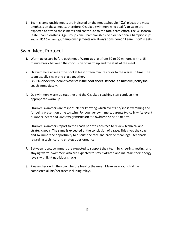5. Team championship meets are indicated on the meet schedule. "Oz" places the most emphasis on these meets, therefore, Ozaukee swimmers who qualify to swim are expected to attend these meets and contribute to the total team effort. The Wisconsin State Championships, Age Group Zone Championships, Senior Sectional Championships and all USA Swimming Championship meets are always considered "Team Effort" meets.

### <span id="page-12-0"></span>Swim Meet Protocol

- 1. Warm up occurs before each meet. Warm-ups last from 30 to 90 minutes with a 15 minute break between the conclusion of warm up and the start of the meet.
- 2. Oz swimmers arrive at the pool at least fifteen minutes prior to the warm up time. The team usually sits in one place together.
- 3. Double-check your child's events in the heat sheet. If there is a mistake, notify the coach immediately.
- 4. Oz swimmers warm up together and the Ozaukee coaching staff conducts the appropriate warm up.
- 5. Ozaukee swimmers are responsible for knowing which events he/she is swimming and for being present on time to swim. For younger swimmers, parents typically write event numbers, heats and lane assignments on the swimmer's hand or arm.
- 6. Ozaukee swimmers report to the coach prior to each race to review technical and strategic goals. The same is expected at the conclusion of a race. This gives the coach and swimmer the opportunity to discuss the race and provide meaningful feedback regarding technical and strategic performance.
- 7. Between races, swimmers are expected to support their team by cheering, resting, and staying warm. Swimmers also are expected to stay hydrated and maintain their energy levels with light nutritious snacks.
- 8. Please check with the coach before leaving the meet. Make sure your child has completed all his/her races including relays.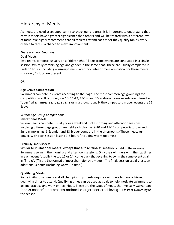### Hierarchy of Meets

As meets are used as an opportunity to check our progress, it is important to understand that certain meets have a greater significance than others and will be treated with a different level of focus. We highly recommend that all athletes attend each meet they qualify for, as every chance to race is a chance to make improvements!

#### *There are two structures:*

#### **Dual Meets**

Two teams compete, usually on a Friday night. All age group events are conducted in a single session, typically combining age and gender in the same heat. These are usually completed in under 3 hours (including warm-up time.) Parent volunteer timers are critical for these meets since only 2 clubs are present!

OR

#### **Age Group Competition**

Swimmers compete in events according to their age. The most common age groupings for competition are: 8 & under,  $9 - 10$ , 11-12, 13-14, and 15 & above. Some events are offered as "open" which means any age can swim, although usually the competitorsin open events are 15 & over.

#### *Within Age Group Competition:*

#### **Invitational Meets**

Several teams compete, usually over a weekend. Both morning and afternoon sessions involving different age groups are held each day (i.e. 9-10 and 11-12 compete Saturday and Sunday mornings, 8 & under and 13 & over compete in the afternoons.) These meets run longer, with each session lasting 3-5 hours (including warm-up time.)

#### **Prelims/Finals Meets**

Similar to invitational meets, except that a third "finals" session is held in the evening. Swimmers swim in the morning and afternoon sessions. Only the swimmers with the top times in each event (usually the top 16 or 24) come back that evening to swim the same event again in "finals". (This is the format of most championship meets.) The finals session usually lasts an additional 3 hours (including warm-up time.)

#### **Qualifying Meets**

Some invitational meets and all championship meets require swimmers to have achieved qualifying times to attend. Qualifying times can be used as goals to help motivate swimmers to attend practice and work on technique. These are the types of meets that typically warrant an "end-of-season"taperprocess,andarethetargetmeetforachievingourfastestswimmingof the season.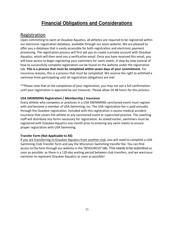# **Financial Obligations and Considerations**

### <span id="page-14-1"></span><span id="page-14-0"></span>**Registration**

Upon committing to swim at Ozaukee Aquatics, all athletes are required to be registered within our electronic registration database, available through our team website. We are pleased to offer you a database that is easily accessible for both registration and electronic payment processing. The registration process will first ask you to create a private account with Ozaukee Aquatics, which will then send you a verification email. Once you have received this email, you will have access to begin registering your swimmers for swim meets. A step-by-step tutorial of how to successfully complete registration can be found on the website under the registration tab. **This is a process that must be completed within seven days of your commitment.** For insurance reasons, this is a process that must be completed. We reserve the right to withhold a swimmer from participating until all registration obligations are met.

\*\*Please note that at the completion of your registration, you may not see a full confirmation until your registration is approved by our treasurer. Please allow 24-48 hours for this process.

#### **USA SWIMMING Registration / Membership / Insurance**

Every athlete who competes or practices in a USA SWIMMING sanctioned event must register with and become a member of USA Swimming, Inc. The USA registration fee is paid annually through the Ozaukee registration. Included with this registration is excess medical accident insurance that covers the athlete at any sanctioned event or supervised practice. The coaching staff will distribute any forms necessary for registration. As stated earlier, swimmers must be registered with Ozaukee Aquatics one month prior to entering any swim meets to ensure proper registration with USA Swimming.

#### **Transfer Form (Not Applicable to All)**

If you are transferring to Ozaukee Aquatics from another club, you will need to complete a USA Swimming Club Transfer form and pay the Wisconsin Swimming transfer fee. You can find accessto the form through our website in the "RESOURCES" tab. This needs to be submitted as soon as possible, as there is a 120-day waiting period between club transfers, and we wantyour swimmer to represent Ozaukee Aquatics as soon as possible!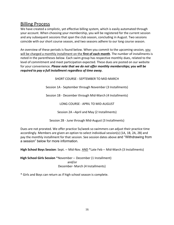### <span id="page-15-0"></span>Billing Process

We have created a simplistic, yet effective billing system, which is easily automated through your account. When choosing your membership, you will be registered for the current session and any subsequent sessions that span the club season, concluding in August. Two sessions coincide with our short course season, and two seasons adhere to our long course season.

An overview of these periods is found below. When you commit to the upcoming session, you will be charged a monthly installment on the **first of each month**. The number of installments is noted in the parentheses below. Each swim group has respective monthly dues, related to the level of commitment and meet participation expected. These dues are posted on our website for your convenience. *Please note that we do not offer monthly memberships; you will be required to pay a full installment regardless of time away.*

SHORT COURSE - SEPTEMBER TO MID-MARCH

Session 1A - September through November (3 Installments)

Session 1B - December through Mid-March (4 Installments)

LONG COURSE - APRIL TO MID-AUGUST

Session 2A –April and May (2 Installments)

Session 2B - June through Mid-August (3 Installments)

Dues are not prorated. We offer practice 5x/week so swimmers can adjust their practice time accordingly. Members are given an option to select individual session(s) (1A, 1B, 2A, 2B) and pay the monthly installment for that session. See session dates above and "Withdrawing from a session" below for more information.

**High School Boys Session**: Sept. – Mid-Nov. AND \*Late Feb – Mid-March (3 Installments)

**High School Girls Session** \*November – December (1 Installment) and/or December- March (4 Installments)

\* Girls and Boys can return as if high school season is complete.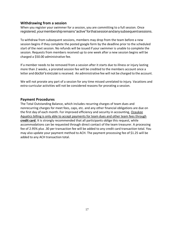#### **Withdrawing from a session**

When you register your swimmer for a session, you are committing to a full session. Once registered,yourmembershipremains"active"forthatsessionandanysubsequentsessions.

To withdraw from subsequent sessions, members may drop from the team before a new session begins if they complete the posted google form by the deadline prior to the scheduled start of the next session. No refunds will be issued if your swimmer is unable to complete the session. Requests from members received up to one week after a new session begins will be charged a \$50.00 administrative fee.

If a member needs to be removed from a session after it starts due to illness or injury lasting more than 2 weeks, a prorated session fee will be credited to the members account once a letter and doctor's excuse is received. An administrative fee will not be charged to the account.

We will not prorate any part of a session for any time missed unrelated to injury. Vacations and extra-curricular activities will not be considered reasons for prorating a session.

#### **Payment Procedures**

The Total Outstanding Balance, which includes recurring charges of team dues and nonrecurring charges for meet fees, caps, etc. and any other financial obligations are due on the first day of each month. For improved efficiency and security in accounting, Ozaukee Aquatics billing is only able to accept payments for team dues and other team fees through **credit card**. It is strongly recommended that all participants oblige this request, while accommodations can be requested through direct contact of the team treasurer. A processing fee of 2.95% plus .30 per transaction fee will be added to any credit card transaction total. You may also update your payment method to ACH. The payment processing fee of \$1.25 will be added to any ACH transaction total.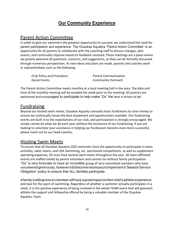# **Our Community Experience**

### <span id="page-17-1"></span><span id="page-17-0"></span>Parent Action Committee

In order to give our swimmers the greatest opportunity to succeed, we understand the need for parent participation and experience. The Ozaukee Aquatics "Parent Action Committee" is an opportunity for all parents to collaborate with the coaching staff to discuss changes, plan events, and continually improve based on feedback received. These meetings are a place where we greatly welcome all questions, concerns, and suggestions, as they can be formally discussed through numerous perspectives. As new ideas and plans are made, parents and coaches work in subcommittees such as the following:

-Club Policy and Procedure **-Parent Communication** -Social Events - Community Outreach

The Parent Action Committee meets monthly at a local meeting hall in the area. The date and time of the monthly meeting will be emailed the week prior to the meeting. All parents are welcomed and encouraged to participate to help make "Oz" the best it strives to be!

### <span id="page-17-2"></span>Fundraising

Beyond our hosted swim meets, Ozaukee Aquatics annually hosts fundraisers to raise money to ensure we continually house the best equipment and opportunities available. Our fundraising events are built in to the expectations of our club, and participation is strongly encouraged. We simply cannot do what we do each year without the assistance of our fundraising. If you are looking to volunteer your assistance in helping our fundraisers become even more successful, please reach out to our head coaches.

### Hosting Swim Meets

To ensure that all Ozaukee Aquatics (OZ) swimmers have the opportunity to participate in team activities, swim meets, and USA Swimming, Inc. sanctioned competitions, as well as supplement operating expenses, Oz must host several swim meets throughout the year. All team affiliated events are staffed totally by parent volunteers and cannot run without family participation. "Oz" is very fortunate to have an incredible group of very committed members who have volunteeredgenerously,howeveritdidbecomenecessarytoimplementa"SessionService Obligation" policy to ensure that ALL families participate.

Afamily'swillingnesstovolunteerwillhaveagreatimpactontheirchild'sathleticexperience and love for the sport of swimming. Regardless of whether a swimmer actually participates in a meet, it is the positive experience of being involved in the whole TEAM event that will giveeach athlete the support and fellowship offered by being a valuable member of the Ozaukee Aquatics Team.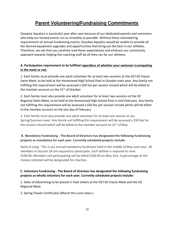# **Parent Volunteering/Fundraising Commitments**

<span id="page-18-0"></span>Ozaukee Aquatics is successful year after year because of our dedicated parents and swimmers who help our hosted events run as smoothly as possible. Without these volunteering requirements or annual fundraising events, Ozaukee Aquatics would be unable to provide all the desired equipment upgrades and opportunities that bring out the best in our athletes. Therefore, we ask that you carefully read these expectations and embrace our community approach towards helping the coaching staff do all they can for our athletes.

#### **A. Participation requirement to be fulfilled regardless of whether your swimmer iscompeting in the meet or not.**

1. Each family must provide one adult volunteer for at least two sessions at the OZ Fall Classic Swim Meet, to be held at the Homestead High School Pool in October each year. Any family not fulfilling this requirement will be assessed a \$50 fee per session missed which will be billed to the member account on the  $31<sup>st</sup>$  of October.

2. Each family must also provide one adult volunteer for at least two sessions at the OZ Regional Swim Meet, to be held at the Homestead High School Pool in mid-February. Any family not fulfilling this requirement will be assessed a \$50 fee per session missed which will be billed to the member account on the last day of February.

3. Each family must also provide one adult volunteer for at least one session at our Spring/Summer meet. Any family not fulfilling this requirement will be assessed a \$50 fee for the session missed which will be billed to the member account on  $31^{st}$  of May.

#### **B. Mandatory Fundraising - The Board of Directors has designated the following fundraising projects as mandatory for each year. Currently scheduled projects include:**

Swim-A-Long - This is our annual mandatory fundraiser held in the middle of May each year. All members in Session 2A are required to participate. Each athlete is required to raise \$100.00. Members not participating will be billed \$100.00 on May 31st. A percentage of the money collected will be designated for charities.

#### **C. Voluntary Fundraising - The Board of Directors has designated the following fundraising projects as wholly voluntary for each year. Currently scheduled projects include:**

1. Sales of Advertising to be placed in heat sheets at the OZ Fall Classic Meet and the OZ Regional Meet.

2. Spring Flower Certificates (March thru June Sales.)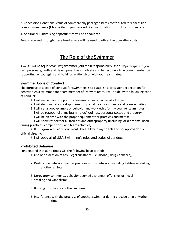3. Concession Donations: value of commercially packaged items contributed for concession sales at swim meets (May be items you have solicited as donations from localbusinesses).

4. Additional Fundraising opportunities will be announced.

**Funds received through these fundraisers will be used to offset the operating costs.**

# **The Role of theSwimmer**

<span id="page-19-0"></span>As an Ozaukee Aquatics ("Oz") swimmer your main responsibility is to fully participate in your own personal growth and development as an athlete and to become a true team member by supporting, encouraging and building relationships with your teammates.

#### **Swimmer Code of Conduct**

The purpose of a code of conduct for swimmers is to establish a consistent expectation for behavior. As a swimmer and team member of Oz swim team, I will abide by the following code of conduct:

1. I will respect and support my teammates and coaches at all times;

- 2. I will demonstrate good sportsmanship at all practices, meets and team activities;
- 3. I will set a good example of behavior and work ethic for my younger teammates;
- 4. I will be respectful of my teammates' feelings, personal space and property;
- 5. I will be on time with the proper equipment for practices and meets;

6. I will show respect for all facilities and otherproperty (including locker rooms) used during practices, competitions, and team activities;

7. IfI disagree with an official's call, Iwilltalkwith mycoach and not approach the official directly;

8. I will obey all of USA Swimming's rules and codes of conduct.

#### **Prohibited Behavior:**

I understand that at no times will the following be accepted:

- 1. Use or possession of any illegal substance (i.e. alcohol, drugs, tobacco);
- 2. Destructive behavior, inappropriate or unruly behavior, including fighting orstriking another athlete;
- 3. Derogatory comments, behavior deemed dishonest, offensive, or illegal
- 4. Stealing and vandalism;
- 5. Bullying or isolating another swimmer;
- 6. Interference with the progress of another swimmer during practice or at anyother time.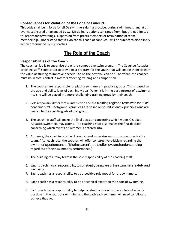#### **Consequences for Violation of the Code of Conduct:**

This code shall be in force for all Oz swimmers during practice, during swim meets, and at all events sponsored or attended by Oz. Disciplinary actions can range from, but are not limited to; reprimands/warnings, suspension from practices/meets or termination of team membership. I understand that if I violate this code of conduct, I will be subject to disciplinary action determined by my coaches.

# **The Role of the Coach**

#### <span id="page-20-0"></span>**Responsibilities of the Coach**

The coaches' job is to supervise the entire competitive swim program. The Ozaukee Aquatics coaching staff is dedicated to providing a program for the youth that will enable them to learn the value of striving to improve oneself--"to be the best you can be." Therefore, the coaches must be in total control in matters affecting training and competition.

- 1. The coaches are responsible for placing swimmers in practice groups. This is based on the age and ability level of each individual. When it is in the best interest of aswimmer, he/ she will be placed in a more challenging training group by their coach.
- 2. Sole responsibility for stroke instruction and the training regimen rests with the "Oz" coaching staff.Each group's practices are based on sound scientific principles and are geared to the specific goals of that group.
- 3. The coaching staff will make the final decision concerning which meets Ozaukee Aquatics swimmers may attend. The coaching staff also makes the final decision concerning which events a swimmer is entered into.
- 4. At meets, the coaching staff will conduct and supervise warmup procedures forthe team. After each race, the coaches will offer constructive criticism regarding the swimmer'sperformance.(It istheparent's job toofferlove andunderstanding regardless of their swimmer's performance.)
- 5. The building of a relay team is the sole responsibility of the coaching staff.
- 6. Eachcoachhasaresponsibilitytoconstantlybeawareoftheswimmers'safetyand wellbeing.
- 7. Each coach has a responsibility to be a positive role model for the swimmers.
- 8. Each coach has a responsibility to be a technical expert on the sport of swimming.
- 9. Each coach has a responsibility to help construct a vision for the athlete of what is possible in the sport of swimming and the path each swimmer will need to followto achieve that goal.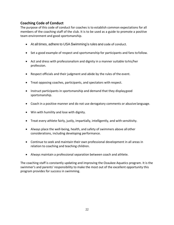#### **Coaching Code of Conduct**

The purpose of this code of conduct for coaches is to establish common expectations for all members of the coaching staff of the club. It is to be used as a guide to promote a positive team environment and good sportsmanship.

- At all times, adhere to USA Swimming's rules and code of conduct.
- Set a good example of respect and sportsmanship for participants and fans tofollow.
- Act and dress with professionalism and dignity in a manner suitable tohis/her profession.
- Respect officials and their judgment and abide by the rules of the event.
- Treat opposing coaches, participants, and spectators with respect.
- Instruct participants in sportsmanship and demand that they displaygood sportsmanship.
- Coach in a positive manner and do not use derogatory comments or abusive language.
- Win with humility and lose with dignity.
- Treat every athlete fairly, justly, impartially, intelligently, and with sensitivity.
- Always place the well-being, health, and safety of swimmers above allother considerations, including developing performance.
- Continue to seek and maintain their own professional development in all areas in relation to coaching and teaching children.
- Always maintain a professional separation between coach and athlete.

The coaching staff is constantly updating and improving the Ozaukee Aquatics program. It is the swimmer's and parents' responsibility to make the most out of the excellent opportunity this program provides for success in swimming.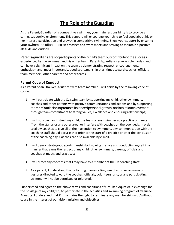# **The Role of theGuardian**

<span id="page-22-0"></span>As the Parent/Guardian of a competitive swimmer, your main responsibility is to provide a caring, supportive environment. This support will encourage your child to feel good about his or her interest, participation and growth in competitive swimming. Show your support by ensuring your swimmer's attendance at practices and swim meets and striving to maintain a positive attitude and outlook.

Parents/guardians are not participants on their child's team but contribute to the success experienced by the swimmer and his or her team. Parents/guardians serve as role models and can have a significant impact on the team by demonstrating respect, encouragement, enthusiasm and, most importantly, good sportsmanship at all times toward coaches, officials, team members, other parents and other teams.

#### **Parent Code of Conduct**

As a Parent of an Ozaukee Aquatics swim team member, I will abide by the following code of conduct:

- 1. I will participate with the Oz swim team by supporting my child, other swimmers, coaches and other parents with positive communications and actions and by supporting theteam'smissiontopromotebalancedpersonalgrowth,andathleticachievement, through team commitment to strong values, excellence and enduring relationships;
- 2. I will not coach or instruct my child, the team or any swimmer at a practice or meets (from the stands or any other area) or interfere with coaches on the pool deck. In order to allow coaches to give all of their attention to swimmers, any communication withthe coaching staff should occur either prior to the start of a practice or after the conclusion of the coaching day. Coaches are also available by e-mail.
- 3. I will demonstrate good sportsmanship by knowing my role and conducting myself in a manner that earns the respect of my child, other swimmers, parents, officials and coaches at meets and practices;
- 4. I will direct any concerns that I may have to a member of the Oz coaching staff;
- 5. As a parent, I understand that criticizing, name-calling, use of abusive language or gestures directed toward the coaches, officials, volunteers, and/or any participating swimmer will not be permitted or tolerated.

I understand and agree to the above terms and conditions of Ozaukee Aquatics in exchange for the privilege of my child(ren) to participate in the activities and swimming program of Ozaukee Aquatics. I understand that Oz maintains the right to terminate any membership with/without cause in the interest of our vision, mission and objectives.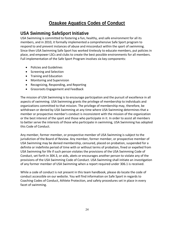# **Ozaukee Aquatics Codes of Conduct**

### **USA Swimming SafeSport Initiative**

USA Swimming is committed to fostering a fun, healthy, and safe environment for all its members, and in 2010, it formally implemented a comprehensive Safe Sport program to respond to and prevent instances of abuse and misconduct within the sport of swimming. Since then USA Swimming Safe Sport has worked tirelessly to educate members, put policies in place, and empower LSCs and clubs to create the best possible environments for all members. Full implementation of the Safe Sport Program involves six key components:

- Policies and Guidelines
- Screening and Selection
- Training and Education
- Monitoring and Supervision
- Recognizing, Responding, and Reporting
- Grassroots Engagement and Feedback

The mission of USA Swimming is to encourage participation and the pursuit of excellence in all aspects of swimming. USA Swimming grants the privilege of membership to individuals and organizations committed to that mission. The privilege of membership may, therefore, be withdrawn or denied by USA Swimming at any time where USA Swimming determines that a member or prospective member's conduct is inconsistent with the mission of the organization or the best interest of the sport and those who participate in it. In order to assist all members to better serve the interests of those who participate in swimming, USA Swimming has adopted this Code of Conduct.

Any member, former member, or prospective member of USA Swimming is subject to the jurisdiction of the Board of Review. Any member, former member, or prospective member of USA Swimming may be denied membership, censured, placed on probation, suspended for a definite or indefinite period of time with or without terms of probation, fined or expelled from USA Swimming for life if such person violates the provisions of the USA Swimming Code of Conduct, set forth in 304.3, or aids, abets or encourages another person to violate any of the provisions of the USA Swimming Code of Conduct. USA Swimming shall initiate an investigation of any former member of USA Swimming when a report required under 306.1 is received.

While a code of conduct is not present in this team handbook, please do locate the code of conduct accessible on our website. You will find information on Safe Sport in regards to Coaching Codes of Conduct, Athlete Protection, and safety procedures set in place in every facet of swimming.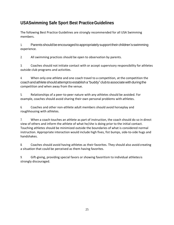# **USASwimming Safe Sport Best PracticeGuidelines**

The following Best Practice Guidelines are strongly recommended for all USA Swimming members.

1. Parents shouldbe encouragedtoappropriately supporttheir children'sswimming experience.

2. All swimming practices should be open to observation by parents.

3. Coaches should not initiate contact with or accept supervisory responsibility for athletes outside club programs and activities.

4. When only one athlete and one coach travel to a competition, at the competition the coachandathleteshouldattempttoestablisha"buddy" clubtoassociatewithduringthe competition and when away from the venue.

5. Relationships of a peer-to-peer nature with any athletes should be avoided. For example, coaches should avoid sharing their own personal problems with athletes.

6. Coaches and other non-athlete adult members should avoid horseplay and roughhousing with athletes.

7. When a coach touches an athlete as part of instruction, the coach should do so in direct view of others and inform the athlete of what he/she is doing prior to the initial contact. Touching athletes should be minimized outside the boundaries of what is considered normal instruction. Appropriate interaction would include high fives, fist bumps, side-to-side hugs and handshakes.

8. Coaches should avoid having athletes as their favorites. They should also avoid creating a situation that could be perceived as them having favorites.

9. Gift-giving, providing special favors or showing favoritism to individual athletesis strongly discouraged.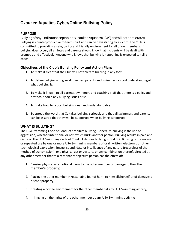# **Ozaukee Aquatics Cyber/Online Bullying Policy**

#### **PURPOSE**

BullyingofanykindisunacceptableatOzaukeeAquatics("Oz")andwillnotbetolerated. Bullying is counterproductive to team spirit and can be devastating to a victim. The Club is committed to providing a safe, caring and friendly environment for all of our members. If bullying does occur, all athletes and parents should know that incidents will be dealt with promptly and effectively. Anyone who knows that bullying is happening is expected to tell a coach.

#### **Objectives of the Club's Bullying Policy and Action Plan:**

- 1. To make it clear that the Club will not tolerate bullying in any form.
- 2. To define bullying and give all coaches, parents and swimmers a good understandingof what bullying is.
- 3. To make it known to all parents, swimmers and coaching staff that there is a policyand protocol should any bullying issues arise.
- 4. To make how to report bullying clear and understandable.
- 5. To spread the word that Oz takes bullying seriously and that all swimmers and parents can be assured that they will be supported when bullying is reported.

#### **WHAT IS BULLYING?**

The USA Swimming Code of Conduct prohibits bullying. Generally, bullying is the use of aggression, whether intentional or not, which hurts another person. Bullying results in pain and distress. The USA Swimming Code of Conduct defines bullying in 304.3.7. Bullying is the severe or repeated use by one or more USA Swimming members of oral, written, electronic or other technological expression, image, sound, data or intelligence of any nature (regardless of the method of transmission), or a physical act or gesture, or any combination thereof, directed at any other member that to a reasonably objective person has the effect of:

- 1. Causing physical or emotional harm to the other member or damage to the other member's property;
- 2. Placing the other member in reasonable fear of harm to himself/herself or of damageto his/her property;
- 3. Creating a hostile environment for the other member at any USA Swimming activity;
- 4. Infringing on the rights of the other member at any USA Swimming activity;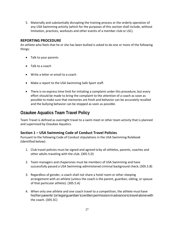5. Materially and substantially disrupting the training process or the orderly operation of any USA Swimming activity (which for the purposes of this section shall include, without limitation, practices, workouts and other events of a member club or LSC).

#### **REPORTING PROCEDURE**

An athlete who feels that he or she has been bullied is asked to do one or more of the following things:

- Talk to your parents
- Talk to a coach
- Write a letter or email to a coach
- Make a report to the USA Swimming Safe Sport staff.
- There is no express time limit for initiating a complaint under this procedure, but every effort should be made to bring the complaint to the attention of a coach as soon as possible to make sure that memories are fresh and behavior can be accurately recalled and the bullying behavior can be stopped as soon as possible.

### **Ozaukee Aquatics Team Travel Policy**

Team Travel is defined as overnight travel to a swim meet or other team activity that is planned and supervised by Ozaukee Aquatics.

#### **Section 1 – USA Swimming Code of Conduct Travel Policies**

Pursuant to the following Code of Conduct stipulations in the USA Swimming Rulebook (identified below):

- 1. Club travel policies must be signed and agreed toby all athletes, parents, coaches and other adults traveling with the club. (305.5.D)
- 2. Team managers and chaperones must be members of USA Swimming and have successfully passed a USA Swimming-administered criminal background check.(305.5.B)
- 3. Regardless of gender, a coach shall not share a hotel room or other sleeping arrangement with an athlete (unless the coach is the parent, guardian, sibling, orspouse of that particular athlete). (305.5.A)
- 4. When only one athlete and one coach travel to a competition, the athlete must have his/herparents'(orlegalguardian's)writtenpermissioninadvancetotravelalonewith the coach. (305.5C)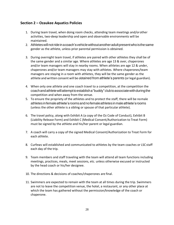#### **Section 2 – Ozaukee Aquatics Policies**

- 1. During team travel, when doing room checks, attending team meetings and/orother activities, two-deep leadership and open and observable environments will be maintained.
- 2. Athleteswillnotrideinacoach'svehiclewithoutanotheradultpresentwhoisthesame gender as the athlete, unless prior parental permission is obtained.
- 3. During overnight team travel, if athletes are paired with other athletes they shall be of the same gender and a similar age. Where athletes are age 13 & over, chaperones and/or team managers will stay in nearby rooms. When athletes are age 12 & under, chaperones and/or team managers may stay with athletes. Where chaperones/team managers are staying in a room with athletes, they will be the same gender as the athlete and written consent will be obtained from athlete's parents (orlegal guardian).
- 4. When only one athlete and one coach travel to a competition, at the competition the coachandathletewillattempttoestablisha"buddy"clubtoassociatewithduringthe competition and when away from the venue.
- 5. To ensure the propriety of the athletes and to protect the staff, there will be nomale athletes infemaleathlete'sroomsandnofemaleathletesinmaleathlete'srooms (unless the other athlete is a sibling or spouse of that particular athlete).
- 6. The travel policy, along with Exhibit A (a copy of the Oz Code of Conduct), Exhibit B (Liability Release Form) and Exhibit C (Medical Consent/Authorization to Treat Form) must be signed by the athlete and his/her parent or legal guardian.
- 7. A coach will carry a copy of the signed Medical Consent/Authorization to Treat Form for each athlete.
- 8. Curfews will established and communicated to athletes by the team coaches or LSCstaff each day of the trip.
- 9. Team members and staff traveling with the team will attend all team functions including meetings, practices, meals, meet sessions, etc. unless otherwise excused or instructed by the head coach or his/her designee.
- 10. The directions & decisions of coaches/chaperones are final.
- 11. Swimmers are expected to remain with the team at all times during the trip. Swimmers are not to leave the competition venue, the hotel, a restaurant, or any other place at which the team has gathered without the permission/knowledge of the coach or chaperone.